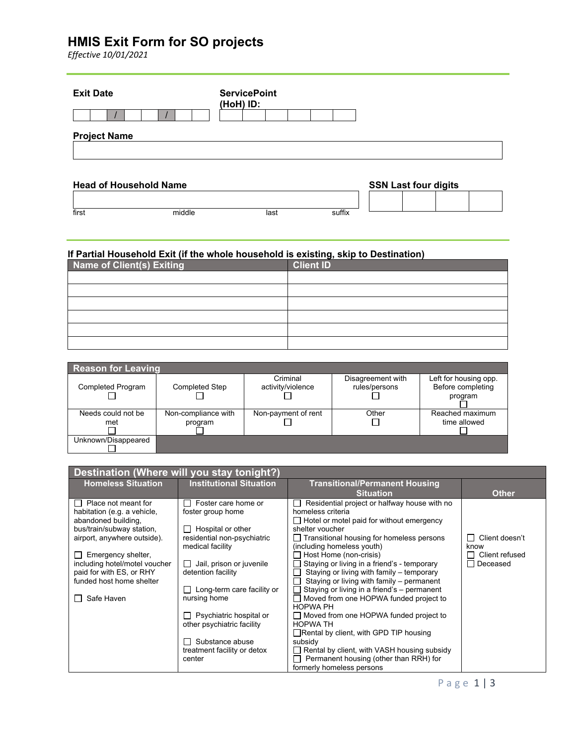# **HMIS Exit Form for SO projects**

*Effective 10/01/2021*

| <b>Exit Date</b>              | <b>ServicePoint</b><br>(HoH) ID: |  |
|-------------------------------|----------------------------------|--|
|                               |                                  |  |
| <b>Project Name</b>           |                                  |  |
| <b>Head of Household Name</b> | <b>SSN Last four digits</b>      |  |

### **If Partial Household Exit (if the whole household is existing, skip to Destination)**

first middle last suffix

| Name of Client(s) Exiting | <b>Client ID</b> |
|---------------------------|------------------|
|                           |                  |
|                           |                  |
|                           |                  |
|                           |                  |
|                           |                  |
|                           |                  |

| Reason for Leaving       |                       |                     |                   |                       |  |  |
|--------------------------|-----------------------|---------------------|-------------------|-----------------------|--|--|
|                          |                       | Criminal            | Disagreement with | Left for housing opp. |  |  |
| <b>Completed Program</b> | <b>Completed Step</b> | activity/violence   | rules/persons     | Before completing     |  |  |
|                          |                       |                     |                   | program               |  |  |
|                          |                       |                     |                   |                       |  |  |
| Needs could not be       | Non-compliance with   | Non-payment of rent | Other             | Reached maximum       |  |  |
| met                      | program               |                     |                   | time allowed          |  |  |
|                          |                       |                     |                   |                       |  |  |
| Unknown/Disappeared      |                       |                     |                   |                       |  |  |
|                          |                       |                     |                   |                       |  |  |

| Destination (Where will you stay tonight?)                |                                          |                                                                                          |                |  |
|-----------------------------------------------------------|------------------------------------------|------------------------------------------------------------------------------------------|----------------|--|
| <b>Homeless Situation</b>                                 | <b>Institutional Situation</b>           | <b>Transitional/Permanent Housing</b>                                                    |                |  |
|                                                           |                                          | <b>Situation</b>                                                                         | <b>Other</b>   |  |
| $\Box$ Place not meant for<br>habitation (e.g. a vehicle, | Foster care home or<br>foster group home | Residential project or halfway house with no<br>homeless criteria                        |                |  |
| abandoned building,                                       |                                          | $\Box$ Hotel or motel paid for without emergency                                         |                |  |
| bus/train/subway station,                                 | Hospital or other                        | shelter voucher                                                                          |                |  |
| airport, anywhere outside).                               | residential non-psychiatric              | $\Box$ Transitional housing for homeless persons                                         | Client doesn't |  |
|                                                           | medical facility                         | (including homeless youth)                                                               | know           |  |
| Emergency shelter,                                        |                                          | Host Home (non-crisis)                                                                   | Client refused |  |
| including hotel/motel voucher                             | Jail, prison or juvenile                 | Staying or living in a friend's - temporary                                              | Deceased       |  |
| paid for with ES, or RHY                                  | detention facility                       | Staying or living with family – temporary                                                |                |  |
| funded host home shelter                                  | Long-term care facility or               | Staying or living with family – permanent<br>Staying or living in a friend's - permanent |                |  |
| Safe Haven                                                | nursing home                             | Moved from one HOPWA funded project to                                                   |                |  |
|                                                           |                                          | <b>HOPWA PH</b>                                                                          |                |  |
|                                                           | Psychiatric hospital or                  | $\Box$ Moved from one HOPWA funded project to                                            |                |  |
|                                                           | other psychiatric facility               | <b>HOPWA TH</b>                                                                          |                |  |
|                                                           |                                          | $\Box$ Rental by client, with GPD TIP housing                                            |                |  |
|                                                           | Substance abuse                          | subsidy                                                                                  |                |  |
|                                                           | treatment facility or detox              | Rental by client, with VASH housing subsidy                                              |                |  |
|                                                           | center                                   | Permanent housing (other than RRH) for<br>formerly homeless persons                      |                |  |
|                                                           |                                          |                                                                                          |                |  |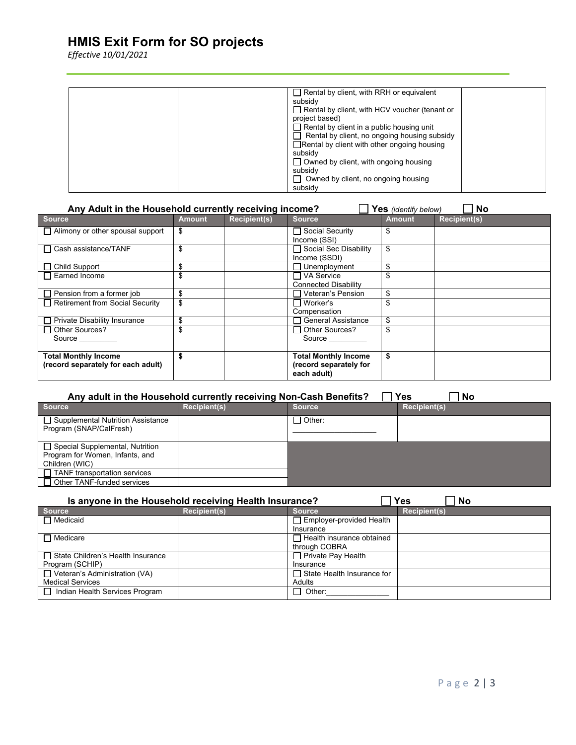# **HMIS Exit Form for SO projects**

*Effective 10/01/2021*

| $\Box$ Rental by client, with RRH or equivalent      |  |
|------------------------------------------------------|--|
| subsidy                                              |  |
| $\Box$ Rental by client, with HCV voucher (tenant or |  |
| project based)                                       |  |
| $\Box$ Rental by client in a public housing unit     |  |
| $\Box$ Rental by client, no ongoing housing subsidy  |  |
| $\Box$ Rental by client with other ongoing housing   |  |
| subsidy                                              |  |
| $\Box$ Owned by client, with ongoing housing         |  |
| subsidy                                              |  |
| $\Box$ Owned by client, no ongoing housing           |  |
| subsidy                                              |  |

| Any Adult in the Household currently receiving income?<br><b>No</b><br>Yes (identify below) |               |                     |                                                                      |               |                     |
|---------------------------------------------------------------------------------------------|---------------|---------------------|----------------------------------------------------------------------|---------------|---------------------|
| <b>Source</b>                                                                               | <b>Amount</b> | <b>Recipient(s)</b> | <b>Source</b>                                                        | <b>Amount</b> | <b>Recipient(s)</b> |
| $\Box$ Alimony or other spousal support                                                     | \$            |                     | □ Social Security<br>Income (SSI)                                    | S             |                     |
| □ Cash assistance/TANF                                                                      | \$            |                     | □ Social Sec Disability<br>Income (SSDI)                             | \$            |                     |
| $\Box$ Child Support                                                                        | \$            |                     | Unemployment                                                         | \$.           |                     |
| Earned Income                                                                               |               |                     | ヿVA Service<br><b>Connected Disability</b>                           |               |                     |
| $\Box$ Pension from a former job                                                            | \$            |                     | Veteran's Pension                                                    | \$            |                     |
| Retirement from Social Security                                                             | \$            |                     | ⊟ Worker's<br>Compensation                                           |               |                     |
| <b>Private Disability Insurance</b>                                                         | \$            |                     | <b>General Assistance</b>                                            |               |                     |
| □ Other Sources?<br>Source                                                                  | \$            |                     | $\Box$ Other Sources?<br>Source                                      |               |                     |
| <b>Total Monthly Income</b><br>(record separately for each adult)                           |               |                     | <b>Total Monthly Income</b><br>(record separately for<br>each adult) | \$            |                     |

| Yes<br>Any adult in the Household currently receiving Non-Cash Benefits?<br><b>No</b> |                     |                 |                     |  |  |
|---------------------------------------------------------------------------------------|---------------------|-----------------|---------------------|--|--|
| <b>Source</b>                                                                         | <b>Recipient(s)</b> | <b>Source</b>   | <b>Recipient(s)</b> |  |  |
| □ Supplemental Nutrition Assistance<br>Program (SNAP/CalFresh)                        |                     | $\sqcap$ Other: |                     |  |  |
| □ Special Supplemental, Nutrition                                                     |                     |                 |                     |  |  |
| Program for Women, Infants, and                                                       |                     |                 |                     |  |  |
| Children (WIC)                                                                        |                     |                 |                     |  |  |
| $\Box$ TANF transportation services                                                   |                     |                 |                     |  |  |
| $\Box$ Other TANF-funded services                                                     |                     |                 |                     |  |  |

| <b>Yes</b><br>Is anyone in the Household receiving Health Insurance?<br>No |                     |                                   |                     |  |
|----------------------------------------------------------------------------|---------------------|-----------------------------------|---------------------|--|
| <b>Source</b>                                                              | <b>Recipient(s)</b> | <b>Source</b>                     | <b>Recipient(s)</b> |  |
| $\Box$ Medicaid                                                            |                     | Employer-provided Health          |                     |  |
|                                                                            |                     | Insurance                         |                     |  |
| $\Box$ Medicare                                                            |                     | $\Box$ Health insurance obtained  |                     |  |
|                                                                            |                     | through COBRA                     |                     |  |
| □ State Children's Health Insurance                                        |                     | $\Box$ Private Pay Health         |                     |  |
| Program (SCHIP)                                                            |                     | Insurance                         |                     |  |
| $\Box$ Veteran's Administration (VA)                                       |                     | $\Box$ State Health Insurance for |                     |  |
| <b>Medical Services</b>                                                    |                     | Adults                            |                     |  |
| □ Indian Health Services Program                                           |                     | $\Box$ Other:                     |                     |  |